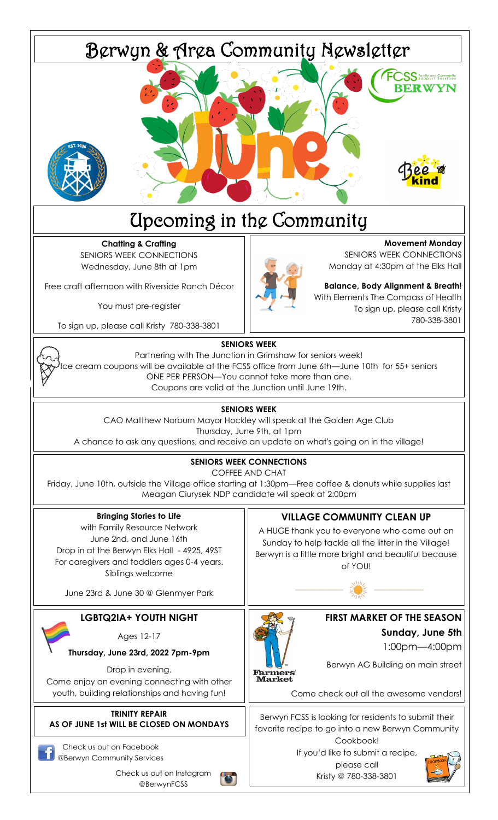